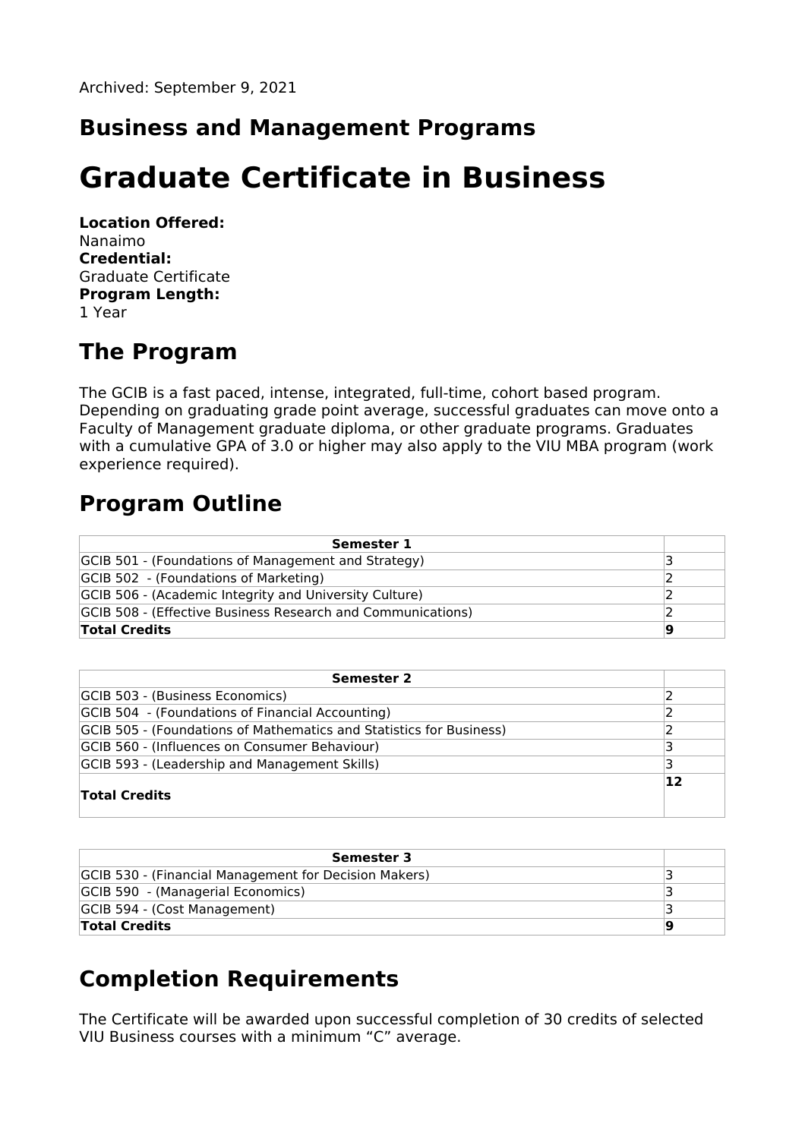### **Business and Management Programs**

# **Graduate Certificate in Business**

**Location Offered:** Nanaimo **Credential:** Graduate Certificate **Program Length:** 1 Year

### **The Program**

The GCIB is a fast paced, intense, integrated, full-time, cohort based program. Depending on graduating grade point average, successful graduates can move onto a Faculty of Management graduate diploma, or other graduate programs. Graduates with a cumulative GPA of 3.0 or higher may also apply to the VIU MBA program (work experience required).

## **Program Outline**

| Semester 1                                                  |    |
|-------------------------------------------------------------|----|
| GCIB 501 - (Foundations of Management and Strategy)         |    |
| GCIB 502 - (Foundations of Marketing)                       |    |
| GCIB 506 - (Academic Integrity and University Culture)      |    |
| GCIB 508 - (Effective Business Research and Communications) |    |
| <b>Total Credits</b>                                        | 19 |

| <b>Semester 2</b>                                                   |    |
|---------------------------------------------------------------------|----|
| GCIB 503 - (Business Economics)                                     |    |
| GCIB 504 - (Foundations of Financial Accounting)                    |    |
| GCIB 505 - (Foundations of Mathematics and Statistics for Business) |    |
| GCIB 560 - (Influences on Consumer Behaviour)                       |    |
| GCIB 593 - (Leadership and Management Skills)                       |    |
| <b>Total Credits</b>                                                | 12 |

| Semester 3                                            |  |
|-------------------------------------------------------|--|
| GCIB 530 - (Financial Management for Decision Makers) |  |
| GCIB 590 - (Managerial Economics)                     |  |
| GCIB 594 - (Cost Management)                          |  |
| <b>Total Credits</b>                                  |  |

## **Completion Requirements**

The Certificate will be awarded upon successful completion of 30 credits of selected VIU Business courses with a minimum "C" average.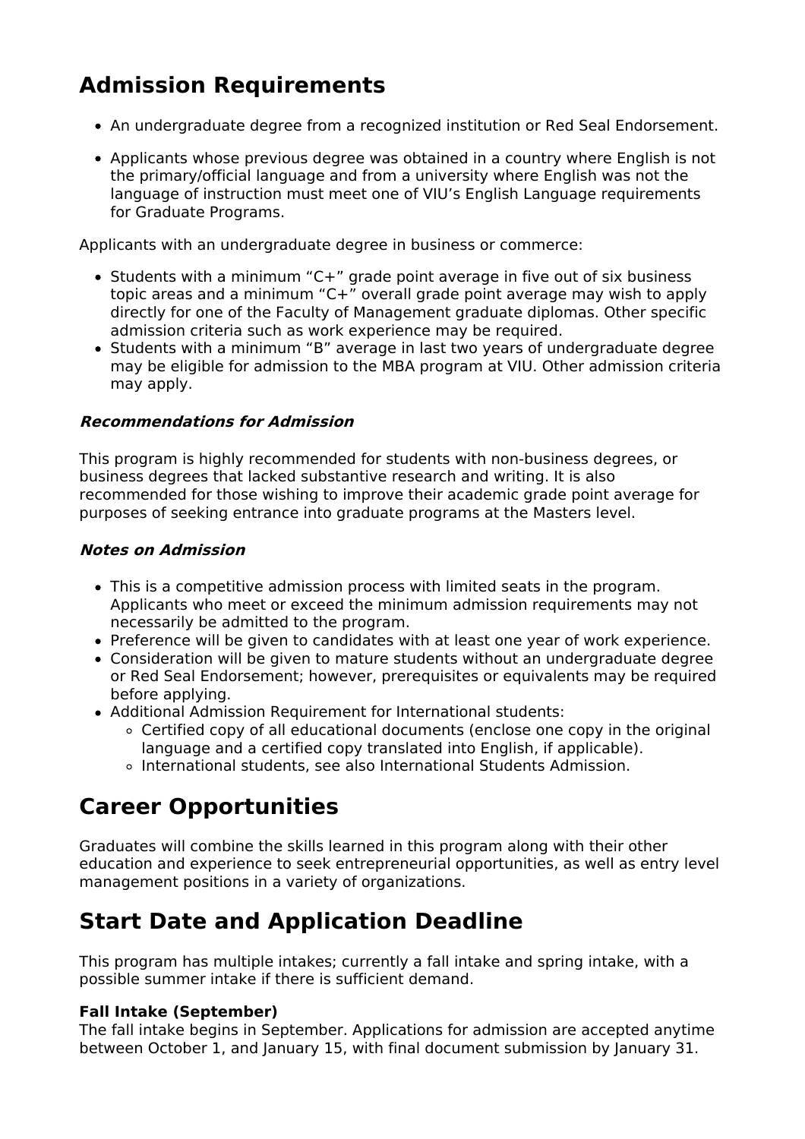# **Admission Requirements**

- An undergraduate degree from a recognized institution or Red Seal Endorsement.
- Applicants whose previous degree was obtained in a country where English is not the primary/official language and from a university where English was not the language of instruction must meet one of VIU's English Language requirements for Graduate Programs.

Applicants with an undergraduate degree in business or commerce:

- Students with a minimum "C+" grade point average in five out of six business topic areas and a minimum "C+" overall grade point average may wish to apply directly for one of the Faculty of Management graduate diplomas. Other specific admission criteria such as work experience may be required.
- Students with a minimum "B" average in last two years of undergraduate degree may be eligible for admission to the MBA program at VIU. Other admission criteria may apply.

#### **Recommendations for Admission**

This program is highly recommended for students with non-business degrees, or business degrees that lacked substantive research and writing. It is also recommended for those wishing to improve their academic grade point average for purposes of seeking entrance into graduate programs at the Masters level.

#### **Notes on Admission**

- This is a competitive admission process with limited seats in the program. Applicants who meet or exceed the minimum admission requirements may not necessarily be admitted to the program.
- Preference will be given to candidates with at least one year of work experience.
- Consideration will be given to mature students without an undergraduate degree or Red Seal Endorsement; however, prerequisites or equivalents may be required before applying.
- Additional Admission Requirement for International students:
	- Certified copy of all educational documents (enclose one copy in the original language and a certified copy translated into English, if applicable).
	- International students, see also International Students Admission.

## **Career Opportunities**

Graduates will combine the skills learned in this program along with their other education and experience to seek entrepreneurial opportunities, as well as entry level management positions in a variety of organizations.

## **Start Date and Application Deadline**

This program has multiple intakes; currently a fall intake and spring intake, with a possible summer intake if there is sufficient demand.

#### **Fall Intake (September)**

The fall intake begins in September. Applications for admission are accepted anytime between October 1, and January 15, with final document submission by January 31.